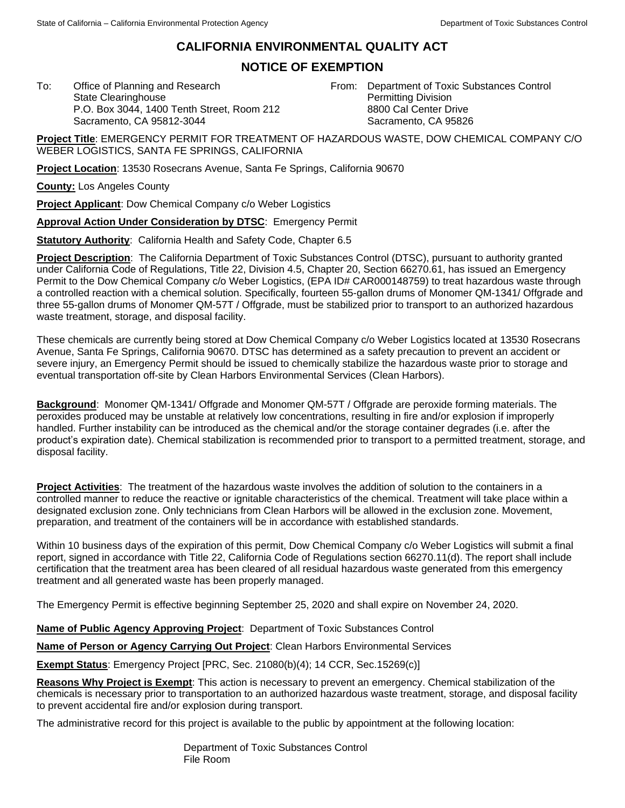## **CALIFORNIA ENVIRONMENTAL QUALITY ACT**

## **NOTICE OF EXEMPTION**

To: Office of Planning and Research State Clearinghouse P.O. Box 3044, 1400 Tenth Street, Room 212 Sacramento, CA 95812-3044

From: Department of Toxic Substances Control Permitting Division 8800 Cal Center Drive Sacramento, CA 95826

**Project Title**: EMERGENCY PERMIT FOR TREATMENT OF HAZARDOUS WASTE, DOW CHEMICAL COMPANY C/O WEBER LOGISTICS, SANTA FE SPRINGS, CALIFORNIA

**Project Location**: 13530 Rosecrans Avenue, Santa Fe Springs, California 90670

**County:** Los Angeles County

**Project Applicant**: Dow Chemical Company c/o Weber Logistics

**Approval Action Under Consideration by DTSC**: Emergency Permit

**Statutory Authority**: California Health and Safety Code, Chapter 6.5

**Project Description**: The California Department of Toxic Substances Control (DTSC), pursuant to authority granted under California Code of Regulations, Title 22, Division 4.5, Chapter 20, Section 66270.61, has issued an Emergency Permit to the Dow Chemical Company c/o Weber Logistics, (EPA ID# CAR000148759) to treat hazardous waste through a controlled reaction with a chemical solution. Specifically, fourteen 55-gallon drums of Monomer QM-1341/ Offgrade and three 55-gallon drums of Monomer QM-57T / Offgrade, must be stabilized prior to transport to an authorized hazardous waste treatment, storage, and disposal facility.

These chemicals are currently being stored at Dow Chemical Company c/o Weber Logistics located at 13530 Rosecrans Avenue, Santa Fe Springs, California 90670. DTSC has determined as a safety precaution to prevent an accident or severe injury, an Emergency Permit should be issued to chemically stabilize the hazardous waste prior to storage and eventual transportation off-site by Clean Harbors Environmental Services (Clean Harbors).

**Background**: Monomer QM-1341/ Offgrade and Monomer QM-57T / Offgrade are peroxide forming materials. The peroxides produced may be unstable at relatively low concentrations, resulting in fire and/or explosion if improperly handled. Further instability can be introduced as the chemical and/or the storage container degrades (i.e. after the product's expiration date). Chemical stabilization is recommended prior to transport to a permitted treatment, storage, and disposal facility.

**Project Activities**: The treatment of the hazardous waste involves the addition of solution to the containers in a controlled manner to reduce the reactive or ignitable characteristics of the chemical. Treatment will take place within a designated exclusion zone. Only technicians from Clean Harbors will be allowed in the exclusion zone. Movement, preparation, and treatment of the containers will be in accordance with established standards.

Within 10 business days of the expiration of this permit, Dow Chemical Company c/o Weber Logistics will submit a final report, signed in accordance with Title 22, California Code of Regulations section 66270.11(d). The report shall include certification that the treatment area has been cleared of all residual hazardous waste generated from this emergency treatment and all generated waste has been properly managed.

The Emergency Permit is effective beginning September 25, 2020 and shall expire on November 24, 2020.

**Name of Public Agency Approving Project**: Department of Toxic Substances Control

**Name of Person or Agency Carrying Out Project**: Clean Harbors Environmental Services

**Exempt Status**: Emergency Project [PRC, Sec. 21080(b)(4); 14 CCR, Sec.15269(c)]

**Reasons Why Project is Exempt**: This action is necessary to prevent an emergency. Chemical stabilization of the chemicals is necessary prior to transportation to an authorized hazardous waste treatment, storage, and disposal facility to prevent accidental fire and/or explosion during transport.

The administrative record for this project is available to the public by appointment at the following location:

Department of Toxic Substances Control File Room